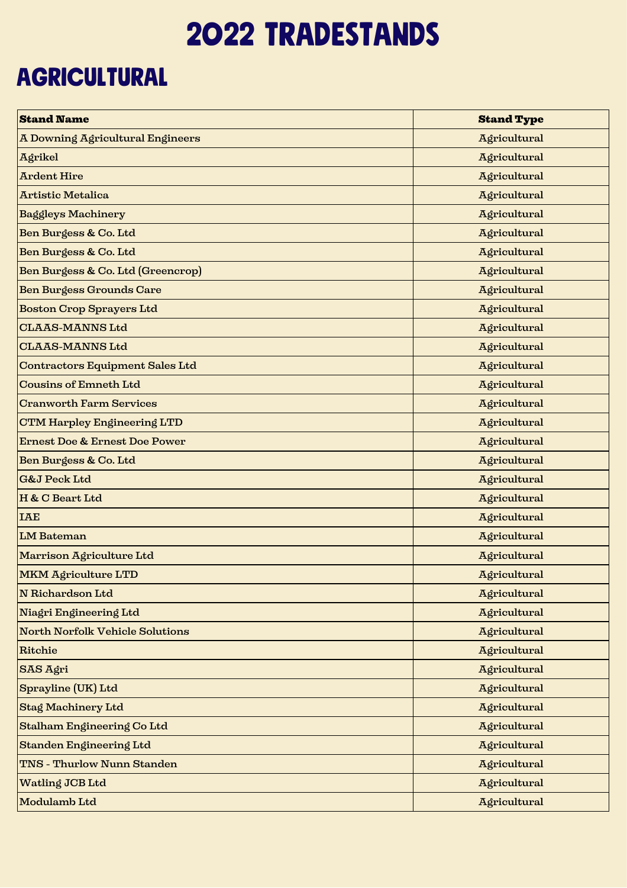## 2022 tradestands

## **AGRICULTURAL**

| <b>Stand Name</b>                        | <b>Stand Type</b> |
|------------------------------------------|-------------------|
| A Downing Agricultural Engineers         | Agricultural      |
| Agrikel                                  | Agricultural      |
| <b>Ardent Hire</b>                       | Agricultural      |
| <b>Artistic Metalica</b>                 | Agricultural      |
| <b>Baggleys Machinery</b>                | Agricultural      |
| Ben Burgess & Co. Ltd                    | Agricultural      |
| Ben Burgess & Co. Ltd                    | Agricultural      |
| Ben Burgess & Co. Ltd (Greencrop)        | Agricultural      |
| <b>Ben Burgess Grounds Care</b>          | Agricultural      |
| <b>Boston Crop Sprayers Ltd</b>          | Agricultural      |
| <b>CLAAS-MANNS Ltd</b>                   | Agricultural      |
| <b>CLAAS-MANNS Ltd</b>                   | Agricultural      |
| <b>Contractors Equipment Sales Ltd</b>   | Agricultural      |
| <b>Cousins of Emneth Ltd</b>             | Agricultural      |
| <b>Cranworth Farm Services</b>           | Agricultural      |
| <b>CTM Harpley Engineering LTD</b>       | Agricultural      |
| <b>Ernest Doe &amp; Ernest Doe Power</b> | Agricultural      |
| Ben Burgess & Co. Ltd                    | Agricultural      |
| <b>G&amp;J Peck Ltd</b>                  | Agricultural      |
| H & C Beart Ltd                          | Agricultural      |
| <b>IAE</b>                               | Agricultural      |
| <b>LM</b> Bateman                        | Agricultural      |
| Marrison Agriculture Ltd                 | Agricultural      |
| <b>MKM Agriculture LTD</b>               | Agricultural      |
| N Richardson Ltd                         | Agricultural      |
| Niagri Engineering Ltd                   | Agricultural      |
| <b>North Norfolk Vehicle Solutions</b>   | Agricultural      |
| <b>Ritchie</b>                           | Agricultural      |
| SAS Agri                                 | Agricultural      |
| Sprayline (UK) Ltd                       | Agricultural      |
| <b>Stag Machinery Ltd</b>                | Agricultural      |
| Stalham Engineering Co Ltd               | Agricultural      |
| Standen Engineering Ltd                  | Agricultural      |
| <b>TNS - Thurlow Nunn Standen</b>        | Agricultural      |
| Watling JCB Ltd                          | Agricultural      |
| Modulamb Ltd                             | Agricultural      |